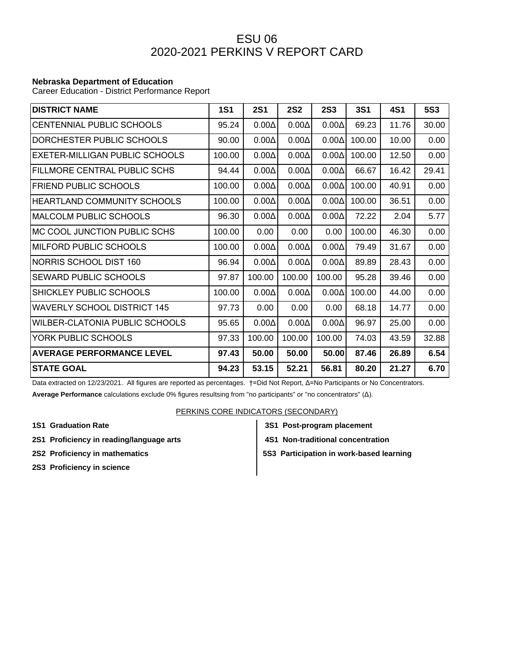## ESU 06 2020-2021 PERKINS V REPORT CARD

## **Nebraska Department of Education**

Career Education - District Performance Report

| <b>DISTRICT NAME</b>                | <b>1S1</b> | <b>2S1</b>   | <b>2S2</b>   | <b>2S3</b>   | <b>3S1</b> | 4S1   | <b>5S3</b> |
|-------------------------------------|------------|--------------|--------------|--------------|------------|-------|------------|
| CENTENNIAL PUBLIC SCHOOLS           | 95.24      | $0.00\Delta$ | $0.00\Delta$ | $0.00\Delta$ | 69.23      | 11.76 | 30.00      |
| DORCHESTER PUBLIC SCHOOLS           | 90.00      | $0.00\Delta$ | $0.00\Delta$ | $0.00\Delta$ | 100.00     | 10.00 | 0.00       |
| EXETER-MILLIGAN PUBLIC SCHOOLS      | 100.00     | $0.00\Delta$ | $0.00\Delta$ | $0.00\Delta$ | 100.00     | 12.50 | 0.00       |
| <b>FILLMORE CENTRAL PUBLIC SCHS</b> | 94.44      | $0.00\Delta$ | $0.00\Delta$ | $0.00\Delta$ | 66.67      | 16.42 | 29.41      |
| <b>FRIEND PUBLIC SCHOOLS</b>        | 100.00     | $0.00\Delta$ | $0.00\Delta$ | $0.00\Delta$ | 100.00     | 40.91 | 0.00       |
| <b>HEARTLAND COMMUNITY SCHOOLS</b>  | 100.00     | $0.00\Delta$ | $0.00\Delta$ | $0.00\Delta$ | 100.00     | 36.51 | 0.00       |
| <b>MALCOLM PUBLIC SCHOOLS</b>       | 96.30      | $0.00\Delta$ | $0.00\Delta$ | $0.00\Delta$ | 72.22      | 2.04  | 5.77       |
| MC COOL JUNCTION PUBLIC SCHS        | 100.00     | 0.00         | 0.00         | 0.00         | 100.00     | 46.30 | 0.00       |
| MILFORD PUBLIC SCHOOLS              | 100.00     | $0.00\Delta$ | $0.00\Delta$ | $0.00\Delta$ | 79.49      | 31.67 | 0.00       |
| NORRIS SCHOOL DIST 160              | 96.94      | $0.00\Delta$ | $0.00\Delta$ | $0.00\Delta$ | 89.89      | 28.43 | 0.00       |
| <b>SEWARD PUBLIC SCHOOLS</b>        | 97.87      | 100.00       | 100.00       | 100.00       | 95.28      | 39.46 | 0.00       |
| SHICKLEY PUBLIC SCHOOLS             | 100.00     | $0.00\Delta$ | $0.00\Delta$ | $0.00\Delta$ | 100.00     | 44.00 | 0.00       |
| <b>WAVERLY SCHOOL DISTRICT 145</b>  | 97.73      | 0.00         | 0.00         | 0.00         | 68.18      | 14.77 | 0.00       |
| WILBER-CLATONIA PUBLIC SCHOOLS      | 95.65      | $0.00\Delta$ | $0.00\Delta$ | $0.00\Delta$ | 96.97      | 25.00 | 0.00       |
| YORK PUBLIC SCHOOLS                 | 97.33      | 100.00       | 100.00       | 100.00       | 74.03      | 43.59 | 32.88      |
| <b>AVERAGE PERFORMANCE LEVEL</b>    | 97.43      | 50.00        | 50.00        | 50.00        | 87.46      | 26.89 | 6.54       |
| <b>STATE GOAL</b>                   | 94.23      | 53.15        | 52.21        | 56.81        | 80.20      | 21.27 | 6.70       |

Data extracted on 12/23/2021. All figures are reported as percentages. †=Did Not Report, Δ=No Participants or No Concentrators. **Average Performance** calculations exclude 0% figures resultsing from "no participants" or "no concentrators" (Δ).

## PERKINS CORE INDICATORS (SECONDARY)

- **1S1 Graduation Rate 3S1 Post-program placement**
- **2S1 Proficiency in reading/language arts 4S1 Non-traditional concentration**
- 
- 
- **2S2 Proficiency in mathematics**  $\begin{vmatrix} 553 \end{vmatrix}$  **5S3 Participation in work-based learning**
- **2S3 Proficiency in science**